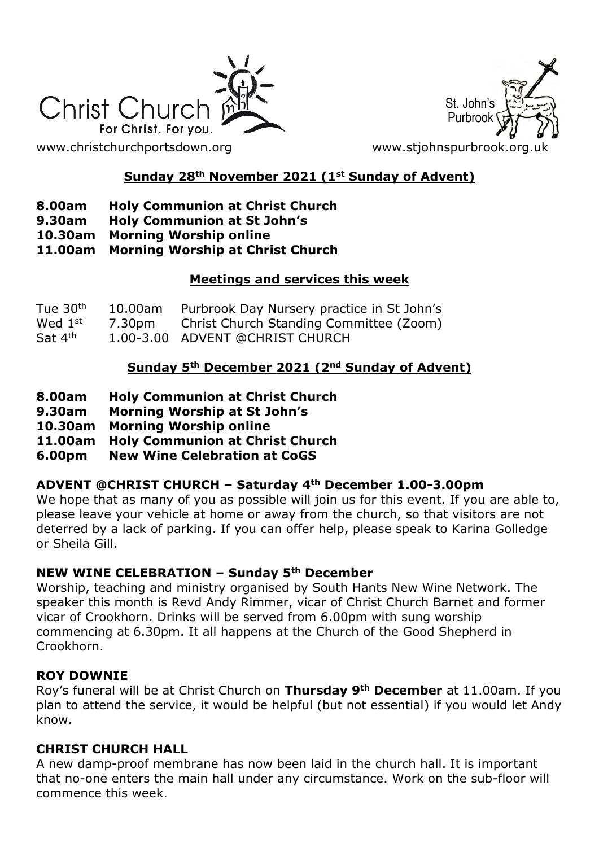

St. John's Purbroo

# **Sunday 28th November 2021 (1st Sunday of Advent)**

- **8.00am Holy Communion at Christ Church**
- **9.30am Holy Communion at St John's**
- **10.30am Morning Worship online**
- **11.00am Morning Worship at Christ Church**

#### **Meetings and services this week**

| Tue 30 <sup>th</sup> | 10.00am Purbrook Day Nursery practice in St John's |
|----------------------|----------------------------------------------------|
| Wed 1 <sup>st</sup>  | 7.30pm Christ Church Standing Committee (Zoom)     |
| Sat 4 <sup>th</sup>  | 1.00-3.00 ADVENT @CHRIST CHURCH                    |

## **Sunday 5th December 2021 (2nd Sunday of Advent)**

- **8.00am Holy Communion at Christ Church**
- **9.30am Morning Worship at St John's**
- **10.30am Morning Worship online**
- **11.00am Holy Communion at Christ Church**
- **6.00pm New Wine Celebration at CoGS**

## **ADVENT @CHRIST CHURCH – Saturday 4th December 1.00-3.00pm**

We hope that as many of you as possible will join us for this event. If you are able to, please leave your vehicle at home or away from the church, so that visitors are not deterred by a lack of parking. If you can offer help, please speak to Karina Golledge or Sheila Gill.

## **NEW WINE CELEBRATION – Sunday 5th December**

Worship, teaching and ministry organised by South Hants New Wine Network. The speaker this month is Revd Andy Rimmer, vicar of Christ Church Barnet and former vicar of Crookhorn. Drinks will be served from 6.00pm with sung worship commencing at 6.30pm. It all happens at the Church of the Good Shepherd in Crookhorn.

## **ROY DOWNIE**

Roy's funeral will be at Christ Church on **Thursday 9th December** at 11.00am. If you plan to attend the service, it would be helpful (but not essential) if you would let Andy know.

## **CHRIST CHURCH HALL**

A new damp-proof membrane has now been laid in the church hall. It is important that no-one enters the main hall under any circumstance. Work on the sub-floor will commence this week.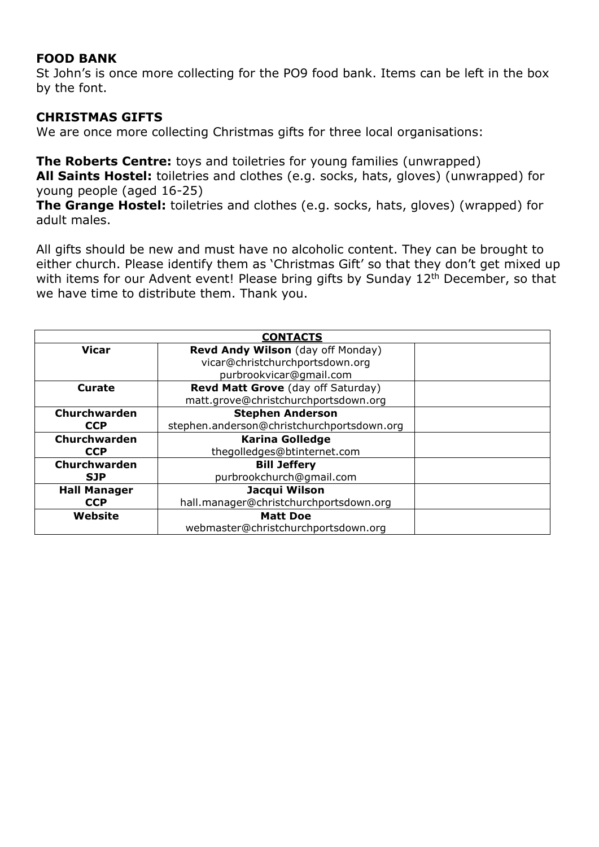## **FOOD BANK**

St John's is once more collecting for the PO9 food bank. Items can be left in the box by the font.

## **CHRISTMAS GIFTS**

We are once more collecting Christmas gifts for three local organisations:

**The Roberts Centre:** toys and toiletries for young families (unwrapped) **All Saints Hostel:** toiletries and clothes (e.g. socks, hats, gloves) (unwrapped) for young people (aged 16-25)

**The Grange Hostel:** toiletries and clothes (e.g. socks, hats, gloves) (wrapped) for adult males.

All gifts should be new and must have no alcoholic content. They can be brought to either church. Please identify them as 'Christmas Gift' so that they don't get mixed up with items for our Advent event! Please bring gifts by Sunday 12<sup>th</sup> December, so that we have time to distribute them. Thank you.

| <b>CONTACTS</b>     |                                            |  |  |
|---------------------|--------------------------------------------|--|--|
| <b>Vicar</b>        | Revd Andy Wilson (day off Monday)          |  |  |
|                     | vicar@christchurchportsdown.org            |  |  |
|                     | purbrookvicar@gmail.com                    |  |  |
| Curate              | Revd Matt Grove (day off Saturday)         |  |  |
|                     | matt.grove@christchurchportsdown.org       |  |  |
| Churchwarden        | <b>Stephen Anderson</b>                    |  |  |
| <b>CCP</b>          | stephen.anderson@christchurchportsdown.org |  |  |
| Churchwarden        | <b>Karina Golledge</b>                     |  |  |
| <b>CCP</b>          | thegolledges@btinternet.com                |  |  |
| Churchwarden        | <b>Bill Jeffery</b>                        |  |  |
| <b>SJP</b>          | purbrookchurch@qmail.com                   |  |  |
| <b>Hall Manager</b> | Jacqui Wilson                              |  |  |
| <b>CCP</b>          | hall.manager@christchurchportsdown.org     |  |  |
| Website             | <b>Matt Doe</b>                            |  |  |
|                     | webmaster@christchurchportsdown.org        |  |  |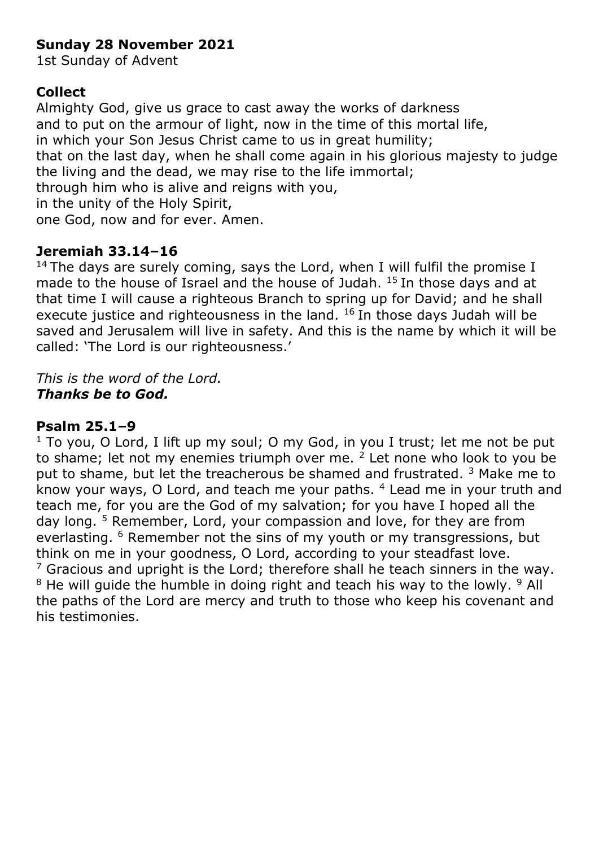# **Sunday 28 November 2021**

1st Sunday of Advent

# **Collect**

Almighty God, give us grace to cast away the works of darkness and to put on the armour of light, now in the time of this mortal life, in which your Son Jesus Christ came to us in great humility; that on the last day, when he shall come again in his glorious majesty to judge the living and the dead, we may rise to the life immortal; through him who is alive and reigns with you, in the unity of the Holy Spirit, one God, now and for ever. Amen.

# **Jeremiah 33.14–16**

<sup>14</sup> The days are surely coming, says the Lord, when I will fulfil the promise I made to the house of Israel and the house of Judah. <sup>15</sup> In those days and at that time I will cause a righteous Branch to spring up for David; and he shall execute justice and righteousness in the land.  $16$  In those days Judah will be saved and Jerusalem will live in safety. And this is the name by which it will be called: 'The Lord is our righteousness.'

*This is the word of the Lord. Thanks be to God.*

# **Psalm 25.1–9**

 $1$  To you, O Lord, I lift up my soul; O my God, in you I trust; let me not be put to shame; let not my enemies triumph over me.  $2$  Let none who look to you be put to shame, but let the treacherous be shamed and frustrated.<sup>3</sup> Make me to know your ways, O Lord, and teach me your paths. <sup>4</sup> Lead me in your truth and teach me, for you are the God of my salvation; for you have I hoped all the day long. <sup>5</sup> Remember, Lord, your compassion and love, for they are from everlasting. <sup>6</sup> Remember not the sins of my youth or my transgressions, but think on me in your goodness, O Lord, according to your steadfast love.  $<sup>7</sup>$  Gracious and upright is the Lord; therefore shall he teach sinners in the way.</sup>  $8$  He will guide the humble in doing right and teach his way to the lowly.  $9$  All the paths of the Lord are mercy and truth to those who keep his covenant and his testimonies.